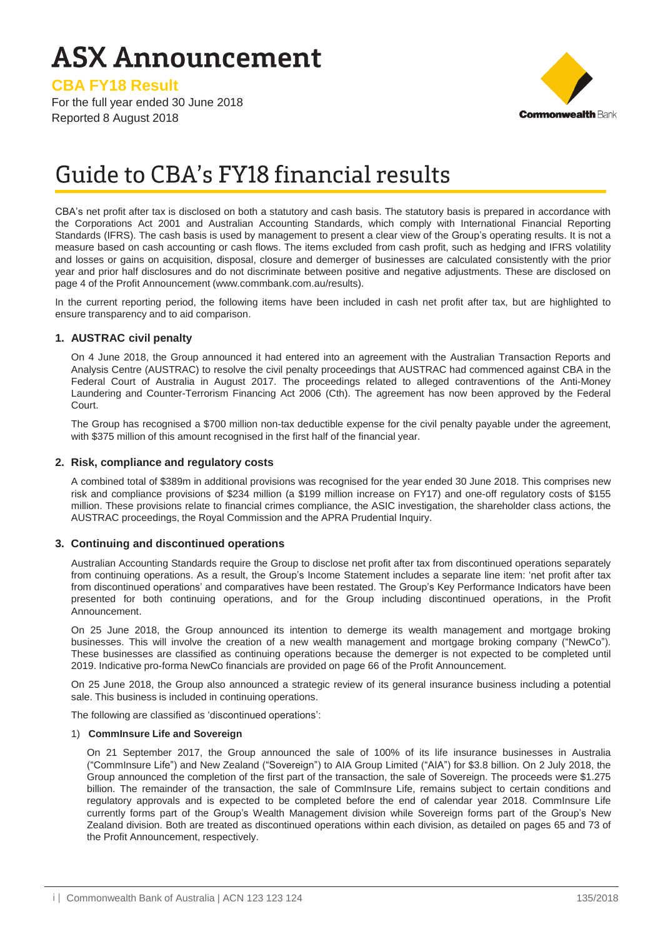# **ASX Announcement**

**CBA FY18 Result**

For the full year ended 30 June 2018 Reported 8 August 2018



# Guide to CBA's FY18 financial results

CBA's net profit after tax is disclosed on both a statutory and cash basis. The statutory basis is prepared in accordance with the Corporations Act 2001 and Australian Accounting Standards, which comply with International Financial Reporting Standards (IFRS). The cash basis is used by management to present a clear view of the Group's operating results. It is not a measure based on cash accounting or cash flows. The items excluded from cash profit, such as hedging and IFRS volatility and losses or gains on acquisition, disposal, closure and demerger of businesses are calculated consistently with the prior year and prior half disclosures and do not discriminate between positive and negative adjustments. These are disclosed on page 4 of the Profit Announcement (www.commbank.com.au/results).

In the current reporting period, the following items have been included in cash net profit after tax, but are highlighted to ensure transparency and to aid comparison.

### **1. AUSTRAC civil penalty**

On 4 June 2018, the Group announced it had entered into an agreement with the Australian Transaction Reports and Analysis Centre (AUSTRAC) to resolve the civil penalty proceedings that AUSTRAC had commenced against CBA in the Federal Court of Australia in August 2017. The proceedings related to alleged contraventions of the Anti-Money Laundering and Counter-Terrorism Financing Act 2006 (Cth). The agreement has now been approved by the Federal Court.

The Group has recognised a \$700 million non-tax deductible expense for the civil penalty payable under the agreement, with \$375 million of this amount recognised in the first half of the financial year.

#### **2. Risk, compliance and regulatory costs**

A combined total of \$389m in additional provisions was recognised for the year ended 30 June 2018. This comprises new risk and compliance provisions of \$234 million (a \$199 million increase on FY17) and one-off regulatory costs of \$155 million. These provisions relate to financial crimes compliance, the ASIC investigation, the shareholder class actions, the AUSTRAC proceedings, the Royal Commission and the APRA Prudential Inquiry.

#### **3. Continuing and discontinued operations**

Australian Accounting Standards require the Group to disclose net profit after tax from discontinued operations separately from continuing operations. As a result, the Group's Income Statement includes a separate line item: 'net profit after tax from discontinued operations' and comparatives have been restated. The Group's Key Performance Indicators have been presented for both continuing operations, and for the Group including discontinued operations, in the Profit Announcement.

On 25 June 2018, the Group announced its intention to demerge its wealth management and mortgage broking businesses. This will involve the creation of a new wealth management and mortgage broking company ("NewCo"). These businesses are classified as continuing operations because the demerger is not expected to be completed until 2019. Indicative pro-forma NewCo financials are provided on page 66 of the Profit Announcement.

On 25 June 2018, the Group also announced a strategic review of its general insurance business including a potential sale. This business is included in continuing operations.

The following are classified as 'discontinued operations':

#### 1) **CommInsure Life and Sovereign**

On 21 September 2017, the Group announced the sale of 100% of its life insurance businesses in Australia ("CommInsure Life") and New Zealand ("Sovereign") to AIA Group Limited ("AIA") for \$3.8 billion. On 2 July 2018, the Group announced the completion of the first part of the transaction, the sale of Sovereign. The proceeds were \$1.275 billion. The remainder of the transaction, the sale of CommInsure Life, remains subject to certain conditions and regulatory approvals and is expected to be completed before the end of calendar year 2018. CommInsure Life currently forms part of the Group's Wealth Management division while Sovereign forms part of the Group's New Zealand division. Both are treated as discontinued operations within each division, as detailed on pages 65 and 73 of the Profit Announcement, respectively.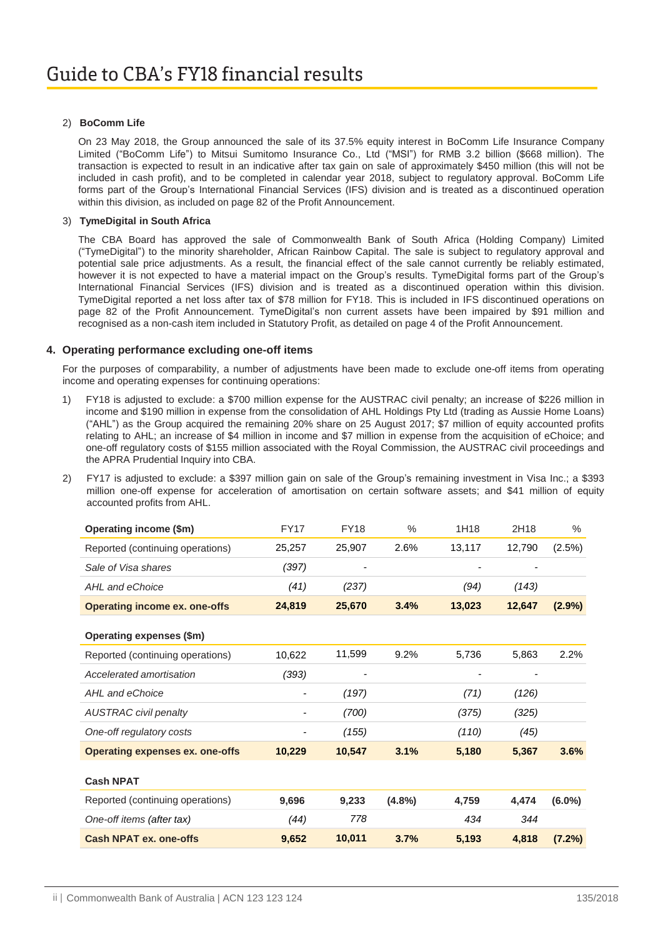### 2) **BoComm Life**

On 23 May 2018, the Group announced the sale of its 37.5% equity interest in BoComm Life Insurance Company Limited ("BoComm Life") to Mitsui Sumitomo Insurance Co., Ltd ("MSI") for RMB 3.2 billion (\$668 million). The transaction is expected to result in an indicative after tax gain on sale of approximately \$450 million (this will not be included in cash profit), and to be completed in calendar year 2018, subject to regulatory approval. BoComm Life forms part of the Group's International Financial Services (IFS) division and is treated as a discontinued operation within this division, as included on page 82 of the Profit Announcement.

#### 3) **TymeDigital in South Africa**

The CBA Board has approved the sale of Commonwealth Bank of South Africa (Holding Company) Limited ("TymeDigital") to the minority shareholder, African Rainbow Capital. The sale is subject to regulatory approval and potential sale price adjustments. As a result, the financial effect of the sale cannot currently be reliably estimated, however it is not expected to have a material impact on the Group's results. TymeDigital forms part of the Group's International Financial Services (IFS) division and is treated as a discontinued operation within this division. TymeDigital reported a net loss after tax of \$78 million for FY18. This is included in IFS discontinued operations on page 82 of the Profit Announcement. TymeDigital's non current assets have been impaired by \$91 million and recognised as a non-cash item included in Statutory Profit, as detailed on page 4 of the Profit Announcement.

#### **4. Operating performance excluding one-off items**

For the purposes of comparability, a number of adjustments have been made to exclude one-off items from operating income and operating expenses for continuing operations:

- 1) FY18 is adjusted to exclude: a \$700 million expense for the AUSTRAC civil penalty; an increase of \$226 million in income and \$190 million in expense from the consolidation of AHL Holdings Pty Ltd (trading as Aussie Home Loans) ("AHL") as the Group acquired the remaining 20% share on 25 August 2017; \$7 million of equity accounted profits relating to AHL; an increase of \$4 million in income and \$7 million in expense from the acquisition of eChoice; and one-off regulatory costs of \$155 million associated with the Royal Commission, the AUSTRAC civil proceedings and the APRA Prudential Inquiry into CBA.
- 2) FY17 is adjusted to exclude: a \$397 million gain on sale of the Group's remaining investment in Visa Inc.; a \$393 million one-off expense for acceleration of amortisation on certain software assets; and \$41 million of equity accounted profits from AHL.

| Operating income (\$m)                 | <b>FY17</b>                  | <b>FY18</b> | $\%$      | 1H18   | 2H18   | $\%$      |
|----------------------------------------|------------------------------|-------------|-----------|--------|--------|-----------|
| Reported (continuing operations)       | 25,257                       | 25,907      | 2.6%      | 13,117 | 12,790 | (2.5%)    |
| Sale of Visa shares                    | (397)                        |             |           |        |        |           |
| AHL and eChoice                        | (41)                         | (237)       |           | (94)   | (143)  |           |
| <b>Operating income ex. one-offs</b>   | 24,819                       | 25,670      | 3.4%      | 13,023 | 12,647 | $(2.9\%)$ |
| Operating expenses (\$m)               |                              |             |           |        |        |           |
| Reported (continuing operations)       | 10,622                       | 11,599      | 9.2%      | 5,736  | 5,863  | 2.2%      |
| Accelerated amortisation               | (393)                        |             |           |        |        |           |
| AHL and eChoice                        | $\qquad \qquad \blacksquare$ | (197)       |           | (71)   | (126)  |           |
| <b>AUSTRAC civil penalty</b>           |                              | (700)       |           | (375)  | (325)  |           |
| One-off regulatory costs               |                              | (155)       |           | (110)  | (45)   |           |
| <b>Operating expenses ex. one-offs</b> | 10,229                       | 10,547      | 3.1%      | 5,180  | 5,367  | 3.6%      |
| <b>Cash NPAT</b>                       |                              |             |           |        |        |           |
| Reported (continuing operations)       | 9,696                        | 9,233       | $(4.8\%)$ | 4,759  | 4,474  | $(6.0\%)$ |
| One-off items (after tax)              | (44)                         | 778         |           | 434    | 344    |           |
| <b>Cash NPAT ex. one-offs</b>          | 9,652                        | 10,011      | 3.7%      | 5,193  | 4,818  | (7.2%)    |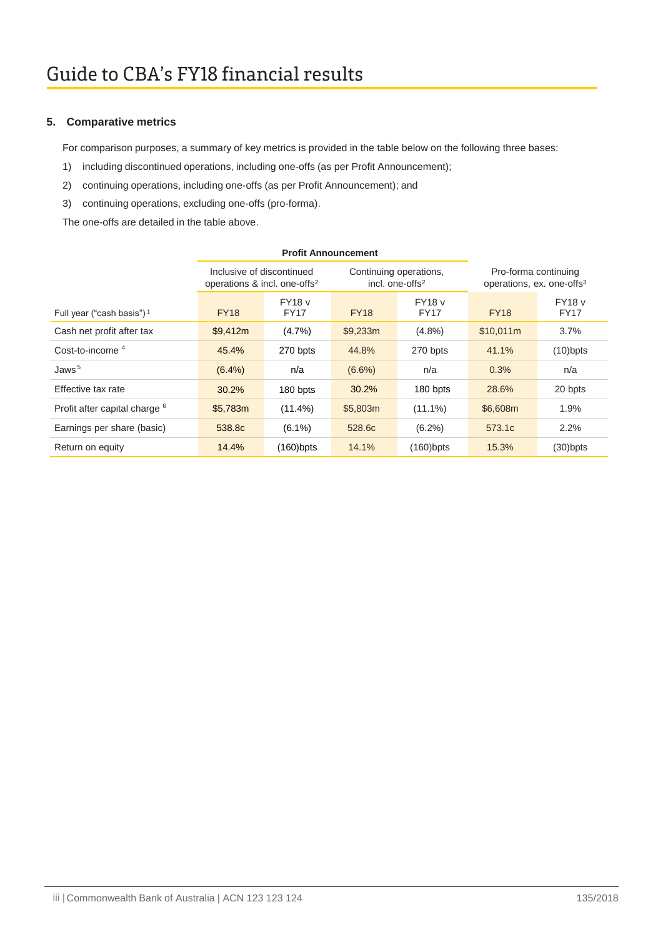### **5. Comparative metrics**

For comparison purposes, a summary of key metrics is provided in the table below on the following three bases:

- 1) including discontinued operations, including one-offs (as per Profit Announcement);
- 2) continuing operations, including one-offs (as per Profit Announcement); and
- 3) continuing operations, excluding one-offs (pro-forma).

The one-offs are detailed in the table above.

|                                          | <b>Profit Announcement</b>                                            |                       |                                                       |                              |                                                               |                              |
|------------------------------------------|-----------------------------------------------------------------------|-----------------------|-------------------------------------------------------|------------------------------|---------------------------------------------------------------|------------------------------|
|                                          | Inclusive of discontinued<br>operations & incl. one-offs <sup>2</sup> |                       | Continuing operations,<br>incl. one-offs <sup>2</sup> |                              | Pro-forma continuing<br>operations, ex. one-offs <sup>3</sup> |                              |
| Full year ("cash basis") <sup>1</sup>    | <b>FY18</b>                                                           | <b>FY18</b> v<br>FY17 | <b>FY18</b>                                           | <b>FY18</b> v<br><b>FY17</b> | <b>FY18</b>                                                   | <b>FY18</b> v<br><b>FY17</b> |
| Cash net profit after tax                | \$9,412m                                                              | (4.7%)                | \$9,233m                                              | $(4.8\%)$                    | \$10,011m                                                     | 3.7%                         |
| Cost-to-income $4$                       | 45.4%                                                                 | 270 bpts              | 44.8%                                                 | 270 bpts                     | 41.1%                                                         | $(10)$ bpts                  |
| Jaws <sup>5</sup>                        | $(6.4\%)$                                                             | n/a                   | $(6.6\%)$                                             | n/a                          | 0.3%                                                          | n/a                          |
| Effective tax rate                       | 30.2%                                                                 | 180 bpts              | 30.2%                                                 | 180 bpts                     | 28.6%                                                         | 20 bpts                      |
| Profit after capital charge <sup>6</sup> | \$5,783m                                                              | $(11.4\%)$            | \$5,803m                                              | $(11.1\%)$                   | \$6,608m                                                      | 1.9%                         |
| Earnings per share (basic)               | 538.8c                                                                | $(6.1\%)$             | 528.6c                                                | $(6.2\%)$                    | 573.1c                                                        | 2.2%                         |
| Return on equity                         | 14.4%                                                                 | (160)bpts             | 14.1%                                                 | $(160)$ bpts                 | 15.3%                                                         | $(30)$ bpts                  |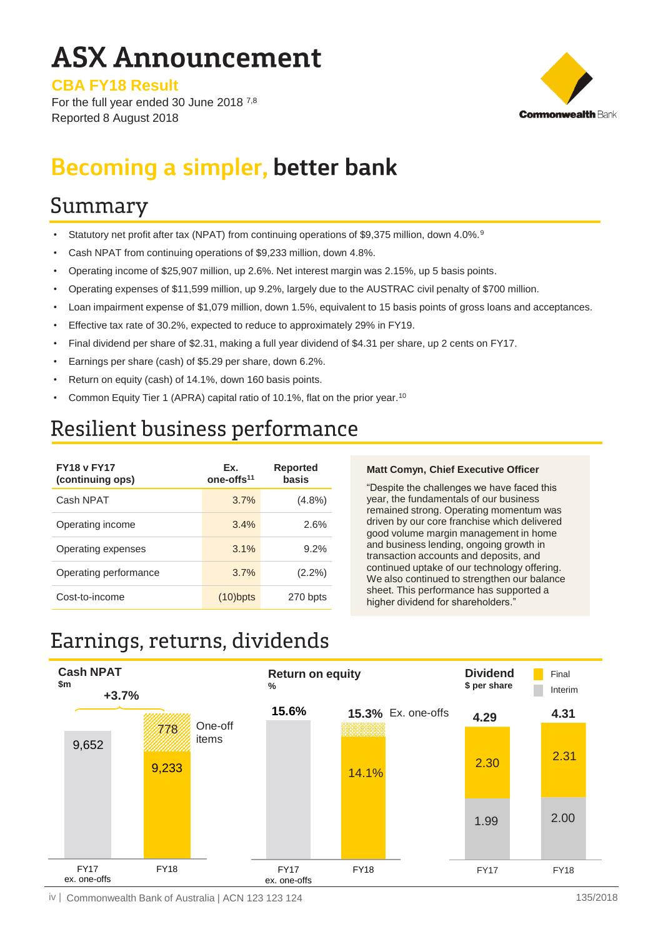# **ASX Announcement**

**CBA FY18 Result**

For the full year ended 30 June 2018 7,8 Reported 8 August 2018



# **Becoming a simpler, better bank**

### Summary

- Statutory net profit after tax (NPAT) from continuing operations of \$9,375 million, down 4.0%.<sup>9</sup>
- Cash NPAT from continuing operations of \$9,233 million, down 4.8%.
- Operating income of \$25,907 million, up 2.6%. Net interest margin was 2.15%, up 5 basis points.
- Operating expenses of \$11,599 million, up 9.2%, largely due to the AUSTRAC civil penalty of \$700 million.
- Loan impairment expense of \$1,079 million, down 1.5%, equivalent to 15 basis points of gross loans and acceptances.
- Effective tax rate of 30.2%, expected to reduce to approximately 29% in FY19.
- Final dividend per share of \$2.31, making a full year dividend of \$4.31 per share, up 2 cents on FY17.
- Earnings per share (cash) of \$5.29 per share, down 6.2%.
- Return on equity (cash) of 14.1%, down 160 basis points.
- Common Equity Tier 1 (APRA) capital ratio of 10.1%, flat on the prior year.<sup>10</sup>

### Resilient business performance

| <b>FY18 v FY17</b><br>(continuing ops) | Ex.<br>one-offs <sup>11</sup> | Reported<br>basis |
|----------------------------------------|-------------------------------|-------------------|
| Cash NPAT                              | 3.7%                          | (4.8%)            |
| Operating income                       | 3.4%                          | 2.6%              |
| Operating expenses                     | 3.1%                          | 9.2%              |
| Operating performance                  | 3.7%                          | $(2.2\%)$         |
| Cost-to-income                         | $(10)$ bpts                   | 270 bpts          |

### **Matt Comyn, Chief Executive Officer**

"Despite the challenges we have faced this year, the fundamentals of our business remained strong. Operating momentum was driven by our core franchise which delivered good volume margin management in home and business lending, ongoing growth in transaction accounts and deposits, and continued uptake of our technology offering. We also continued to strengthen our balance sheet. This performance has supported a higher dividend for shareholders.

## Earnings, returns, dividends



iv | Commonwealth Bank of Australia | ACN 123 123 124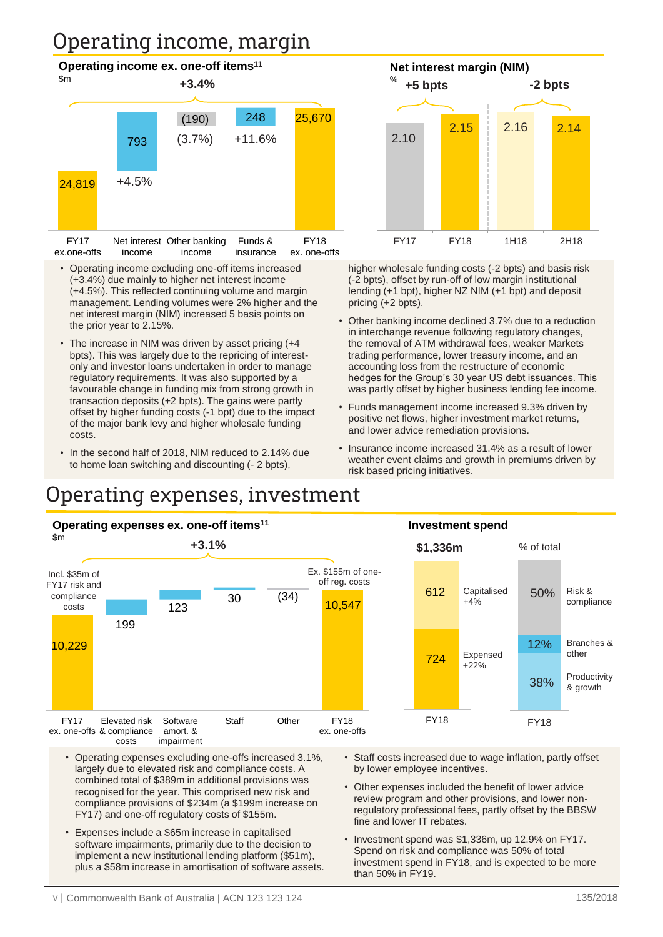# Operating income, margin



- Operating income excluding one-off items increased (+3.4%) due mainly to higher net interest income (+4.5%). This reflected continuing volume and margin management. Lending volumes were 2% higher and the net interest margin (NIM) increased 5 basis points on the prior year to 2.15%.
- The increase in NIM was driven by asset pricing (+4 bpts). This was largely due to the repricing of interestonly and investor loans undertaken in order to manage regulatory requirements. It was also supported by a favourable change in funding mix from strong growth in transaction deposits (+2 bpts). The gains were partly offset by higher funding costs (-1 bpt) due to the impact of the major bank levy and higher wholesale funding costs.
- In the second half of 2018, NIM reduced to 2.14% due to home loan switching and discounting (- 2 bpts),

higher wholesale funding costs (-2 bpts) and basis risk (-2 bpts), offset by run-off of low margin institutional lending (+1 bpt), higher NZ NIM (+1 bpt) and deposit FY17 FY18 1H18 2H18

2.15 2.16 2.14

**-2 bpts**

**Net interest margin (NIM)**

Other banking income declined 3.7% due to a reduction in interchange revenue following regulatory changes, the removal of ATM withdrawal fees, weaker Markets trading performance, lower treasury income, and an accounting loss from the restructure of economic hedges for the Group's 30 year US debt issuances. This was partly offset by higher business lending fee income.

pricing (+2 bpts).

%

**+5 bpts**

2.10

- Funds management income increased 9.3% driven by positive net flows, higher investment market returns, and lower advice remediation provisions.
- Insurance income increased 31.4% as a result of lower weather event claims and growth in premiums driven by risk based pricing initiatives.

### Operating expenses, investment



- Operating expenses excluding one-offs increased 3.1%, largely due to elevated risk and compliance costs. A combined total of \$389m in additional provisions was recognised for the year. This comprised new risk and compliance provisions of \$234m (a \$199m increase on FY17) and one-off regulatory costs of \$155m.
- Expenses include a \$65m increase in capitalised software impairments, primarily due to the decision to implement a new institutional lending platform (\$51m), plus a \$58m increase in amortisation of software assets.
- Staff costs increased due to wage inflation, partly offset by lower employee incentives.
- Other expenses included the benefit of lower advice review program and other provisions, and lower nonregulatory professional fees, partly offset by the BBSW fine and lower IT rebates.
- Investment spend was \$1,336m, up 12.9% on FY17. Spend on risk and compliance was 50% of total investment spend in FY18, and is expected to be more than 50% in FY19.

#### 135/2018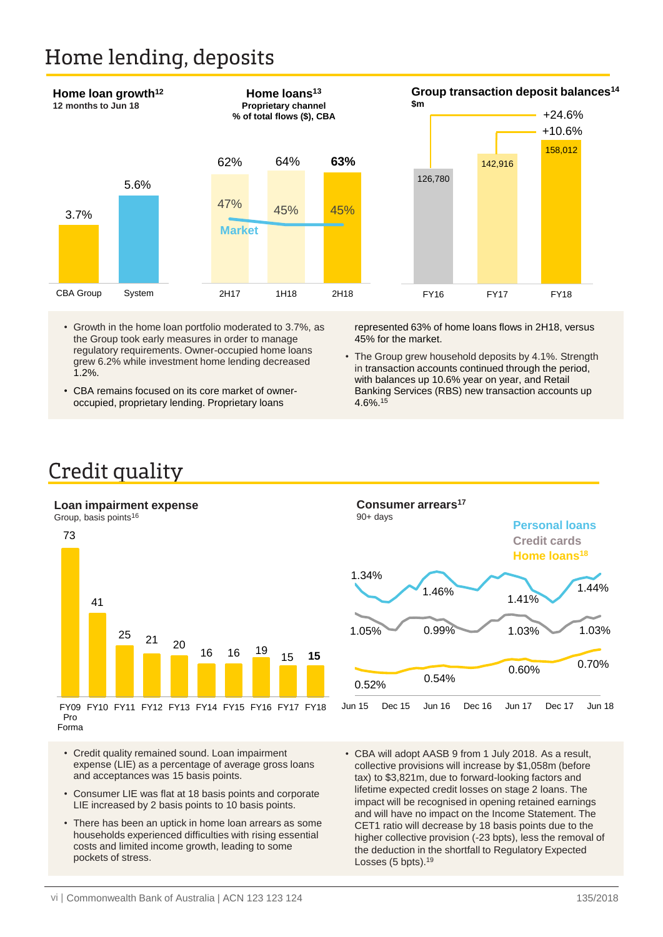### Home lending, deposits



- Growth in the home loan portfolio moderated to 3.7%, as the Group took early measures in order to manage regulatory requirements. Owner-occupied home loans grew 6.2% while investment home lending decreased 1.2%.
- CBA remains focused on its core market of owneroccupied, proprietary lending. Proprietary loans

represented 63% of home loans flows in 2H18, versus 45% for the market.

• The Group grew household deposits by 4.1%. Strength in transaction accounts continued through the period, with balances up 10.6% year on year, and Retail Banking Services (RBS) new transaction accounts up 4.6%.15

### Credit quality

### **Loan impairment expense**



- Credit quality remained sound. Loan impairment expense (LIE) as a percentage of average gross loans and acceptances was 15 basis points.
- Consumer LIE was flat at 18 basis points and corporate LIE increased by 2 basis points to 10 basis points.
- There has been an uptick in home loan arrears as some households experienced difficulties with rising essential costs and limited income growth, leading to some pockets of stress.



• CBA will adopt AASB 9 from 1 July 2018. As a result, collective provisions will increase by \$1,058m (before tax) to \$3,821m, due to forward-looking factors and lifetime expected credit losses on stage 2 loans. The impact will be recognised in opening retained earnings and will have no impact on the Income Statement. The CET1 ratio will decrease by 18 basis points due to the higher collective provision (-23 bpts), less the removal of the deduction in the shortfall to Regulatory Expected Losses (5 bpts).<sup>19</sup>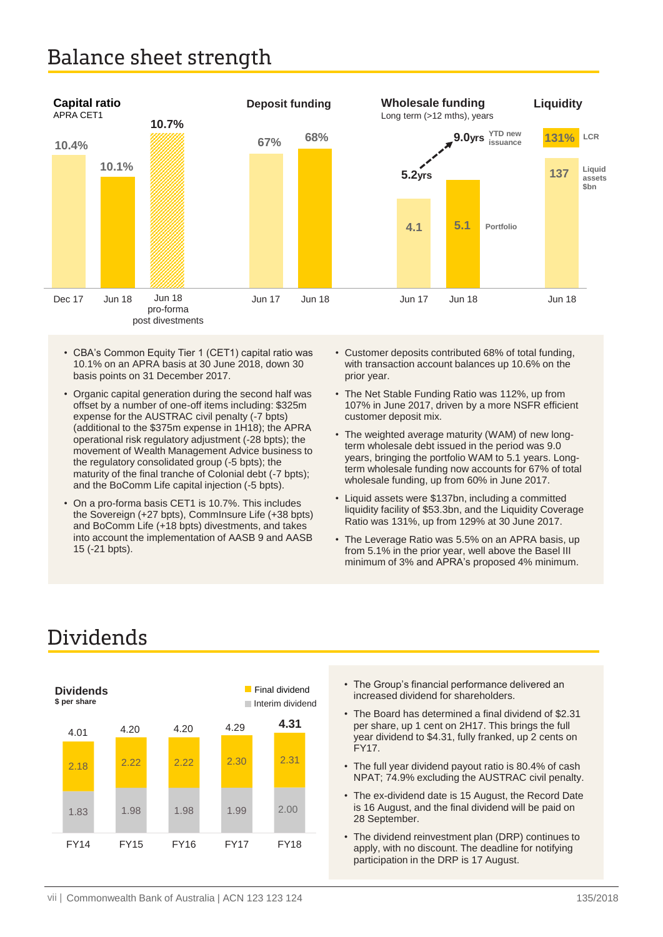### Balance sheet strength



- CBA's Common Equity Tier 1 (CET1) capital ratio was 10.1% on an APRA basis at 30 June 2018, down 30 basis points on 31 December 2017.
- Organic capital generation during the second half was offset by a number of one-off items including: \$325m expense for the AUSTRAC civil penalty (-7 bpts) (additional to the \$375m expense in 1H18); the APRA operational risk regulatory adjustment (-28 bpts); the movement of Wealth Management Advice business to the regulatory consolidated group (-5 bpts); the maturity of the final tranche of Colonial debt (-7 bpts); and the BoComm Life capital injection (-5 bpts).
- On a pro-forma basis CET1 is 10.7%. This includes the Sovereign (+27 bpts), CommInsure Life (+38 bpts) and BoComm Life (+18 bpts) divestments, and takes into account the implementation of AASB 9 and AASB 15 (-21 bpts).
- Customer deposits contributed 68% of total funding, with transaction account balances up 10.6% on the prior year.
- The Net Stable Funding Ratio was 112%, up from 107% in June 2017, driven by a more NSFR efficient customer deposit mix.
- The weighted average maturity (WAM) of new longterm wholesale debt issued in the period was 9.0 years, bringing the portfolio WAM to 5.1 years. Longterm wholesale funding now accounts for 67% of total wholesale funding, up from 60% in June 2017.
- Liquid assets were \$137bn, including a committed liquidity facility of \$53.3bn, and the Liquidity Coverage Ratio was 131%, up from 129% at 30 June 2017.
- The Leverage Ratio was 5.5% on an APRA basis, up from 5.1% in the prior year, well above the Basel III minimum of 3% and APRA's proposed 4% minimum.



## Dividends

- The Group's financial performance delivered an increased dividend for shareholders.
- year dividend to \$4.31, fully franked, up 2 cents on • The Board has determined a final dividend of \$2.31 per share, up 1 cent on 2H17. This brings the full FY17.
- The full year dividend payout ratio is 80.4% of cash NPAT; 74.9% excluding the AUSTRAC civil penalty.
- The ex-dividend date is 15 August, the Record Date is 16 August, and the final dividend will be paid on 28 September.
- The dividend reinvestment plan (DRP) continues to apply, with no discount. The deadline for notifying participation in the DRP is 17 August.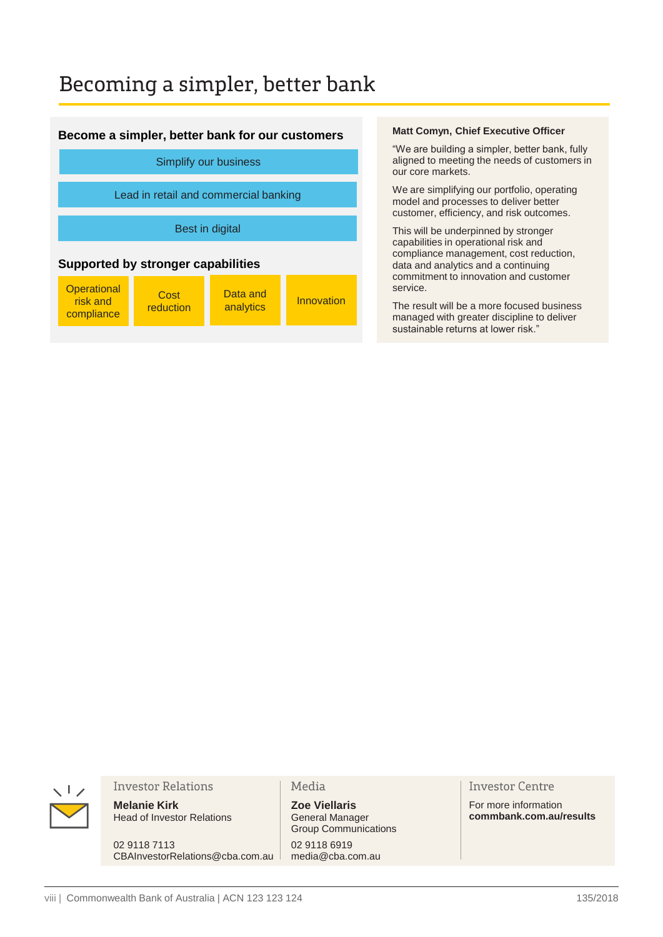### Becoming a simpler, better bank

### **Become a simpler, better bank for our customers**

| Simplify our business                        |                   |                       |            |  |
|----------------------------------------------|-------------------|-----------------------|------------|--|
| Lead in retail and commercial banking        |                   |                       |            |  |
| Best in digital                              |                   |                       |            |  |
| <b>Supported by stronger capabilities</b>    |                   |                       |            |  |
| <b>Operational</b><br>risk and<br>compliance | Cost<br>reduction | Data and<br>analytics | Innovation |  |

#### **Matt Comyn, Chief Executive Officer**

"We are building a simpler, better bank, fully aligned to meeting the needs of customers in our core markets.

We are simplifying our portfolio, operating model and processes to deliver better customer, efficiency, and risk outcomes.

This will be underpinned by stronger capabilities in operational risk and compliance management, cost reduction, data and analytics and a continuing commitment to innovation and customer service.

The result will be a more focused business managed with greater discipline to deliver sustainable returns at lower risk."



#### **Investor Relations**

**Melanie Kirk** Head of Investor Relations

02 9118 7113 CBAInvestorRelations@cba.com.au

### Media

**Zoe Viellaris** General Manager Group Communications 02 9118 6919 media@cba.com.au

### **Investor Centre**

For more information **commbank.com.au/results**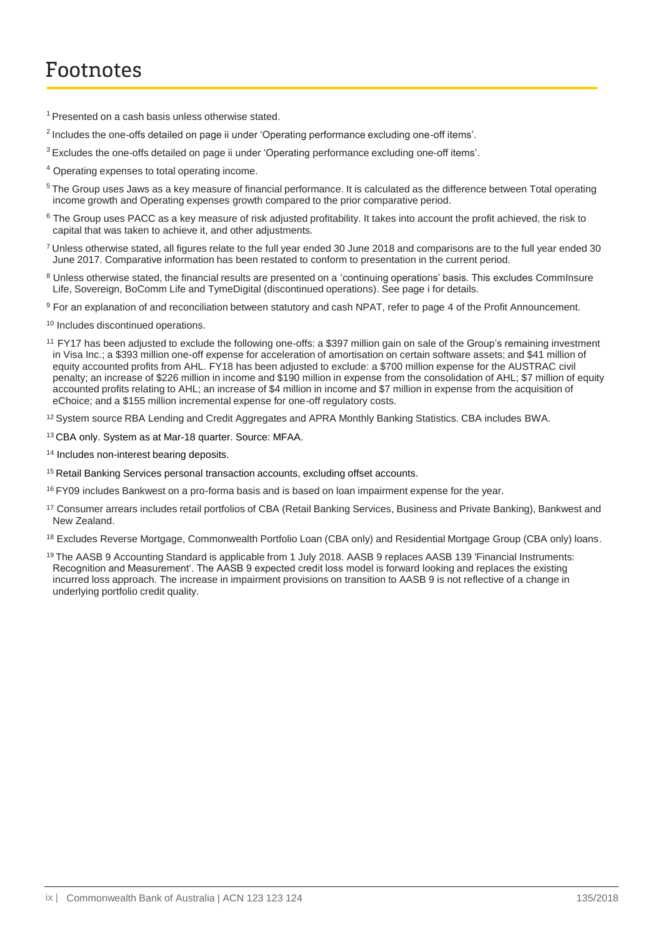- $1$  Presented on a cash basis unless otherwise stated.
- <sup>2</sup> Includes the one-offs detailed on page ii under 'Operating performance excluding one-off items'.
- <sup>3</sup>Excludes the one-offs detailed on page ii under 'Operating performance excluding one-off items'.
- <sup>4</sup> Operating expenses to total operating income.
- <sup>5</sup> The Group uses Jaws as a key measure of financial performance. It is calculated as the difference between Total operating income growth and Operating expenses growth compared to the prior comparative period.
- $6$  The Group uses PACC as a key measure of risk adjusted profitability. It takes into account the profit achieved, the risk to capital that was taken to achieve it, and other adjustments.
- <sup>7</sup>Unless otherwise stated, all figures relate to the full year ended 30 June 2018 and comparisons are to the full year ended 30 June 2017. Comparative information has been restated to conform to presentation in the current period.
- <sup>8</sup> Unless otherwise stated, the financial results are presented on a 'continuing operations' basis. This excludes CommInsure Life, Sovereign, BoComm Life and TymeDigital (discontinued operations). See page i for details.
- <sup>9</sup> For an explanation of and reconciliation between statutory and cash NPAT, refer to page 4 of the Profit Announcement.
- <sup>10</sup> Includes discontinued operations.
- <sup>11</sup>FY17 has been adjusted to exclude the following one-offs: a \$397 million gain on sale of the Group's remaining investment in Visa Inc.; a \$393 million one-off expense for acceleration of amortisation on certain software assets; and \$41 million of equity accounted profits from AHL. FY18 has been adjusted to exclude: a \$700 million expense for the AUSTRAC civil penalty; an increase of \$226 million in income and \$190 million in expense from the consolidation of AHL; \$7 million of equity accounted profits relating to AHL; an increase of \$4 million in income and \$7 million in expense from the acquisition of eChoice; and a \$155 million incremental expense for one-off regulatory costs.
- <sup>12</sup> System source RBA Lending and Credit Aggregates and APRA Monthly Banking Statistics. CBA includes BWA.
- <sup>13</sup>CBA only. System as at Mar-18 quarter. Source: MFAA.
- <sup>14</sup> Includes non-interest bearing deposits.
- <sup>15</sup> Retail Banking Services personal transaction accounts, excluding offset accounts.
- <sup>16</sup> FY09 includes Bankwest on a pro-forma basis and is based on loan impairment expense for the year.
- <sup>17</sup> Consumer arrears includes retail portfolios of CBA (Retail Banking Services, Business and Private Banking), Bankwest and New Zealand.
- 18 Excludes Reverse Mortgage, Commonwealth Portfolio Loan (CBA only) and Residential Mortgage Group (CBA only) loans.
- <sup>19</sup>The AASB 9 Accounting Standard is applicable from 1 July 2018. AASB 9 replaces AASB 139 'Financial Instruments: Recognition and Measurement'. The AASB 9 expected credit loss model is forward looking and replaces the existing incurred loss approach. The increase in impairment provisions on transition to AASB 9 is not reflective of a change in underlying portfolio credit quality.